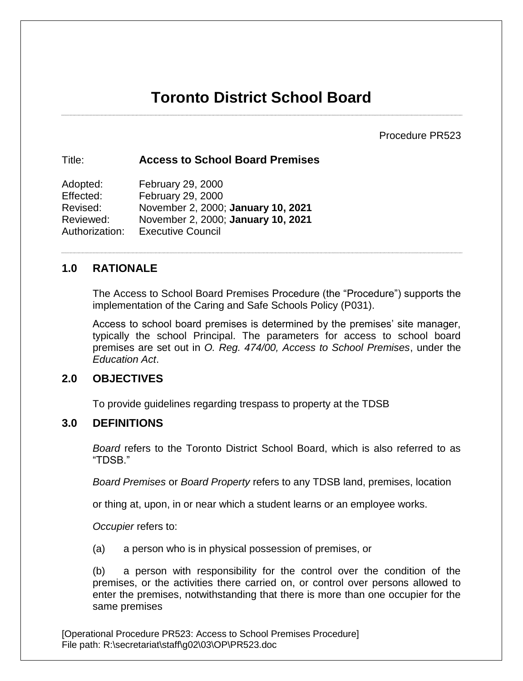# **Toronto District School Board**

Procedure PR523

## Title: **Access to School Board Premises**

Adopted: February 29, 2000 Effected: February 29, 2000 Revised: November 2, 2000; **January 10, 2021** Reviewed: November 2, 2000; **January 10, 2021** Authorization: Executive Council

# **1.0 RATIONALE**

The Access to School Board Premises Procedure (the "Procedure") supports the implementation of the Caring and Safe Schools Policy (P031).

Access to school board premises is determined by the premises' site manager, typically the school Principal. The parameters for access to school board premises are set out in *O. Reg. 474/00, Access to School Premises*, under the *Education Act*.

# **2.0 OBJECTIVES**

To provide guidelines regarding trespass to property at the TDSB

# **3.0 DEFINITIONS**

*Board* refers to the Toronto District School Board, which is also referred to as "TDSB."

*Board Premises* or *Board Property* refers to any TDSB land, premises, location

or thing at, upon, in or near which a student learns or an employee works.

*Occupier* refers to:

(a) a person who is in physical possession of premises, or

(b) a person with responsibility for the control over the condition of the premises, or the activities there carried on, or control over persons allowed to enter the premises, notwithstanding that there is more than one occupier for the same premises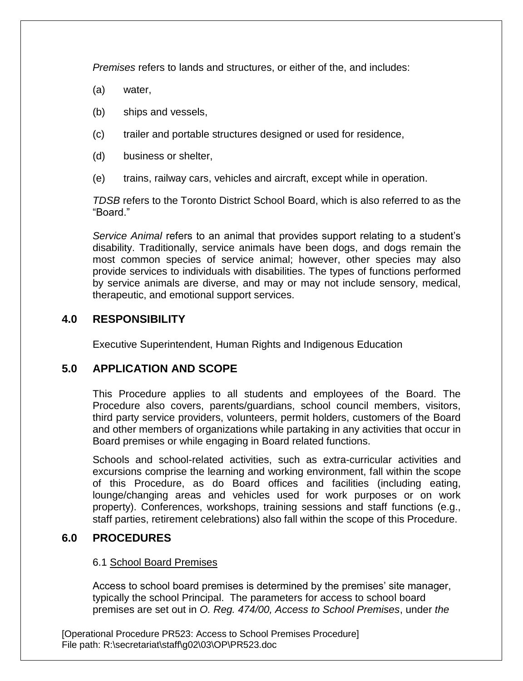*Premises* refers to lands and structures, or either of the, and includes:

- (a) water,
- (b) ships and vessels,
- (c) trailer and portable structures designed or used for residence,
- (d) business or shelter,
- (e) trains, railway cars, vehicles and aircraft, except while in operation.

*TDSB* refers to the Toronto District School Board, which is also referred to as the "Board."

*Service Animal* refers to an animal that provides support relating to a student's disability. Traditionally, service animals have been dogs, and dogs remain the most common species of service animal; however, other species may also provide services to individuals with disabilities. The types of functions performed by service animals are diverse, and may or may not include sensory, medical, therapeutic, and emotional support services.

# **4.0 RESPONSIBILITY**

Executive Superintendent, Human Rights and Indigenous Education

# **5.0 APPLICATION AND SCOPE**

This Procedure applies to all students and employees of the Board. The Procedure also covers, parents/guardians, school council members, visitors, third party service providers, volunteers, permit holders, customers of the Board and other members of organizations while partaking in any activities that occur in Board premises or while engaging in Board related functions.

Schools and school-related activities, such as extra-curricular activities and excursions comprise the learning and working environment, fall within the scope of this Procedure, as do Board offices and facilities (including eating, lounge/changing areas and vehicles used for work purposes or on work property). Conferences, workshops, training sessions and staff functions (e.g., staff parties, retirement celebrations) also fall within the scope of this Procedure.

# **6.0 PROCEDURES**

#### 6.1 School Board Premises

Access to school board premises is determined by the premises' site manager, typically the school Principal. The parameters for access to school board premises are set out in *O. Reg. 474/00, Access to School Premises*, under *the*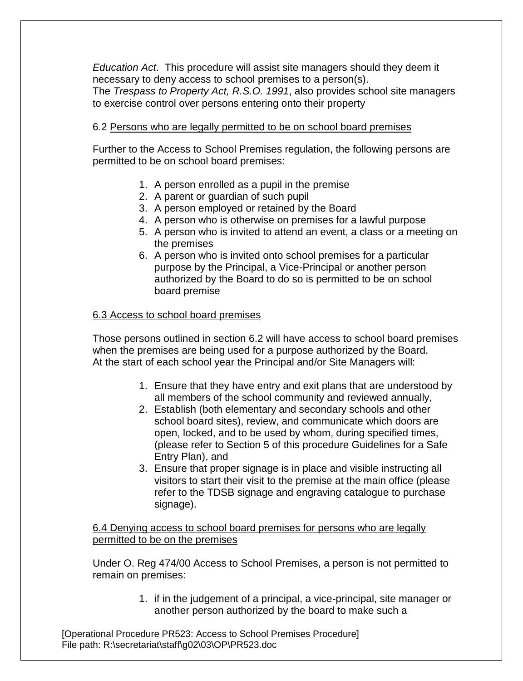*Education Act*. This procedure will assist site managers should they deem it necessary to deny access to school premises to a person(s). The *Trespass to Property Act, R.S.O. 1991*, also provides school site managers to exercise control over persons entering onto their property

## 6.2 Persons who are legally permitted to be on school board premises

Further to the Access to School Premises regulation, the following persons are permitted to be on school board premises:

- 1. A person enrolled as a pupil in the premise
- 2. A parent or guardian of such pupil
- 3. A person employed or retained by the Board
- 4. A person who is otherwise on premises for a lawful purpose
- 5. A person who is invited to attend an event, a class or a meeting on the premises
- 6. A person who is invited onto school premises for a particular purpose by the Principal, a Vice-Principal or another person authorized by the Board to do so is permitted to be on school board premise

#### 6.3 Access to school board premises

Those persons outlined in section 6.2 will have access to school board premises when the premises are being used for a purpose authorized by the Board. At the start of each school year the Principal and/or Site Managers will:

- 1. Ensure that they have entry and exit plans that are understood by all members of the school community and reviewed annually,
- 2. Establish (both elementary and secondary schools and other school board sites), review, and communicate which doors are open, locked, and to be used by whom, during specified times, (please refer to Section 5 of this procedure Guidelines for a Safe Entry Plan), and
- 3. Ensure that proper signage is in place and visible instructing all visitors to start their visit to the premise at the main office (please refer to the TDSB signage and engraving catalogue to purchase signage).

6.4 Denying access to school board premises for persons who are legally permitted to be on the premises

Under O. Reg 474/00 Access to School Premises, a person is not permitted to remain on premises:

> 1. if in the judgement of a principal, a vice-principal, site manager or another person authorized by the board to make such a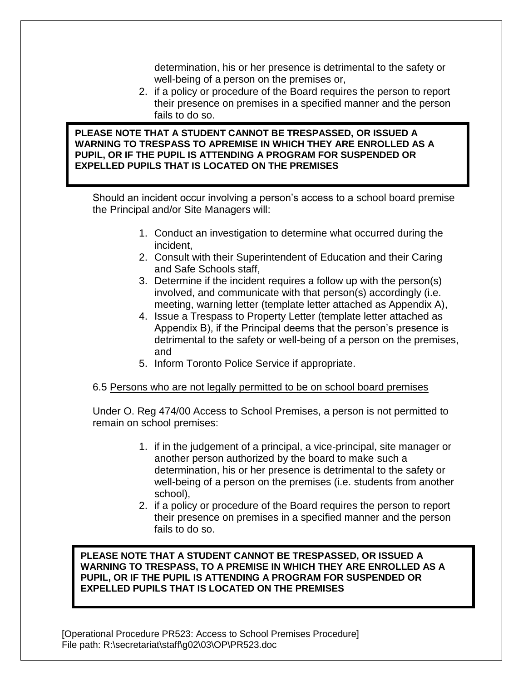determination, his or her presence is detrimental to the safety or well-being of a person on the premises or,

2. if a policy or procedure of the Board requires the person to report their presence on premises in a specified manner and the person fails to do so.

**PLEASE NOTE THAT A STUDENT CANNOT BE TRESPASSED, OR ISSUED A WARNING TO TRESPASS TO APREMISE IN WHICH THEY ARE ENROLLED AS A PUPIL, OR IF THE PUPIL IS ATTENDING A PROGRAM FOR SUSPENDED OR EXPELLED PUPILS THAT IS LOCATED ON THE PREMISES**

Should an incident occur involving a person's access to a school board premise the Principal and/or Site Managers will:

- 1. Conduct an investigation to determine what occurred during the incident,
- 2. Consult with their Superintendent of Education and their Caring and Safe Schools staff,
- 3. Determine if the incident requires a follow up with the person(s) involved, and communicate with that person(s) accordingly (i.e. meeting, warning letter (template letter attached as Appendix A),
- 4. Issue a Trespass to Property Letter (template letter attached as Appendix B), if the Principal deems that the person's presence is detrimental to the safety or well-being of a person on the premises, and
- 5. Inform Toronto Police Service if appropriate.

#### 6.5 Persons who are not legally permitted to be on school board premises

Under O. Reg 474/00 Access to School Premises, a person is not permitted to remain on school premises:

- 1. if in the judgement of a principal, a vice-principal, site manager or another person authorized by the board to make such a determination, his or her presence is detrimental to the safety or well-being of a person on the premises (i.e. students from another school),
- 2. if a policy or procedure of the Board requires the person to report their presence on premises in a specified manner and the person fails to do so.

**PLEASE NOTE THAT A STUDENT CANNOT BE TRESPASSED, OR ISSUED A WARNING TO TRESPASS, TO A PREMISE IN WHICH THEY ARE ENROLLED AS A PUPIL, OR IF THE PUPIL IS ATTENDING A PROGRAM FOR SUSPENDED OR EXPELLED PUPILS THAT IS LOCATED ON THE PREMISES**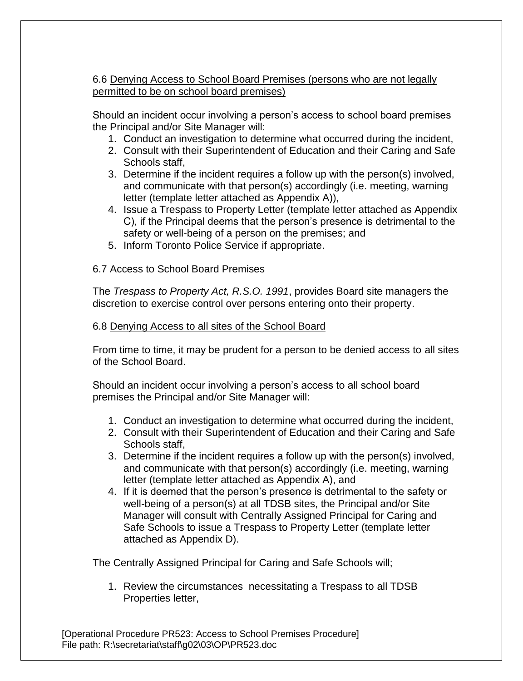## 6.6 Denying Access to School Board Premises (persons who are not legally permitted to be on school board premises)

Should an incident occur involving a person's access to school board premises the Principal and/or Site Manager will:

- 1. Conduct an investigation to determine what occurred during the incident,
- 2. Consult with their Superintendent of Education and their Caring and Safe Schools staff,
- 3. Determine if the incident requires a follow up with the person(s) involved, and communicate with that person(s) accordingly (i.e. meeting, warning letter (template letter attached as Appendix A)),
- 4. Issue a Trespass to Property Letter (template letter attached as Appendix C), if the Principal deems that the person's presence is detrimental to the safety or well-being of a person on the premises; and
- 5. Inform Toronto Police Service if appropriate.

## 6.7 Access to School Board Premises

The *Trespass to Property Act, R.S.O. 1991*, provides Board site managers the discretion to exercise control over persons entering onto their property.

#### 6.8 Denying Access to all sites of the School Board

From time to time, it may be prudent for a person to be denied access to all sites of the School Board.

Should an incident occur involving a person's access to all school board premises the Principal and/or Site Manager will:

- 1. Conduct an investigation to determine what occurred during the incident,
- 2. Consult with their Superintendent of Education and their Caring and Safe Schools staff,
- 3. Determine if the incident requires a follow up with the person(s) involved, and communicate with that person(s) accordingly (i.e. meeting, warning letter (template letter attached as Appendix A), and
- 4. If it is deemed that the person's presence is detrimental to the safety or well-being of a person(s) at all TDSB sites, the Principal and/or Site Manager will consult with Centrally Assigned Principal for Caring and Safe Schools to issue a Trespass to Property Letter (template letter attached as Appendix D).

The Centrally Assigned Principal for Caring and Safe Schools will;

1. Review the circumstances necessitating a Trespass to all TDSB Properties letter,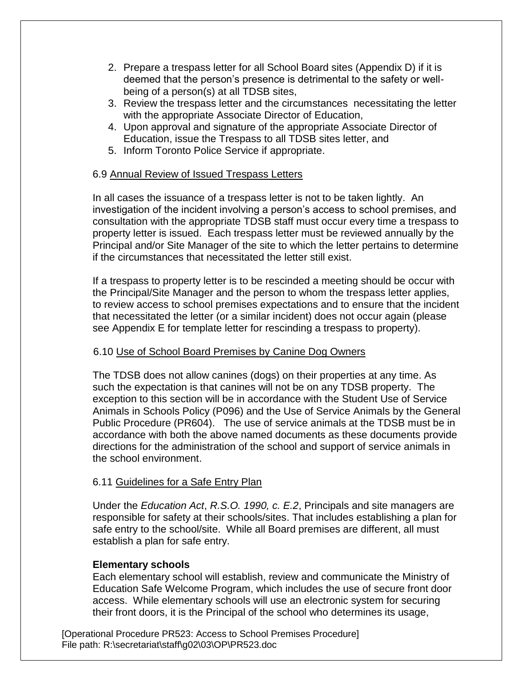- 2. Prepare a trespass letter for all School Board sites (Appendix D) if it is deemed that the person's presence is detrimental to the safety or wellbeing of a person(s) at all TDSB sites,
- 3. Review the trespass letter and the circumstances necessitating the letter with the appropriate Associate Director of Education,
- 4. Upon approval and signature of the appropriate Associate Director of Education, issue the Trespass to all TDSB sites letter, and
- 5. Inform Toronto Police Service if appropriate.

#### 6.9 Annual Review of Issued Trespass Letters

In all cases the issuance of a trespass letter is not to be taken lightly. An investigation of the incident involving a person's access to school premises, and consultation with the appropriate TDSB staff must occur every time a trespass to property letter is issued. Each trespass letter must be reviewed annually by the Principal and/or Site Manager of the site to which the letter pertains to determine if the circumstances that necessitated the letter still exist.

If a trespass to property letter is to be rescinded a meeting should be occur with the Principal/Site Manager and the person to whom the trespass letter applies, to review access to school premises expectations and to ensure that the incident that necessitated the letter (or a similar incident) does not occur again (please see Appendix E for template letter for rescinding a trespass to property).

#### 6.10 Use of School Board Premises by Canine Dog Owners

The TDSB does not allow canines (dogs) on their properties at any time. As such the expectation is that canines will not be on any TDSB property. The exception to this section will be in accordance with the Student Use of Service Animals in Schools Policy (P096) and the Use of Service Animals by the General Public Procedure (PR604). The use of service animals at the TDSB must be in accordance with both the above named documents as these documents provide directions for the administration of the school and support of service animals in the school environment.

#### 6.11 Guidelines for a Safe Entry Plan

Under the *Education Act*, *R.S.O. 1990, c. E.2*, Principals and site managers are responsible for safety at their schools/sites. That includes establishing a plan for safe entry to the school/site. While all Board premises are different, all must establish a plan for safe entry.

#### **Elementary schools**

Each elementary school will establish, review and communicate the Ministry of Education Safe Welcome Program, which includes the use of secure front door access. While elementary schools will use an electronic system for securing their front doors, it is the Principal of the school who determines its usage,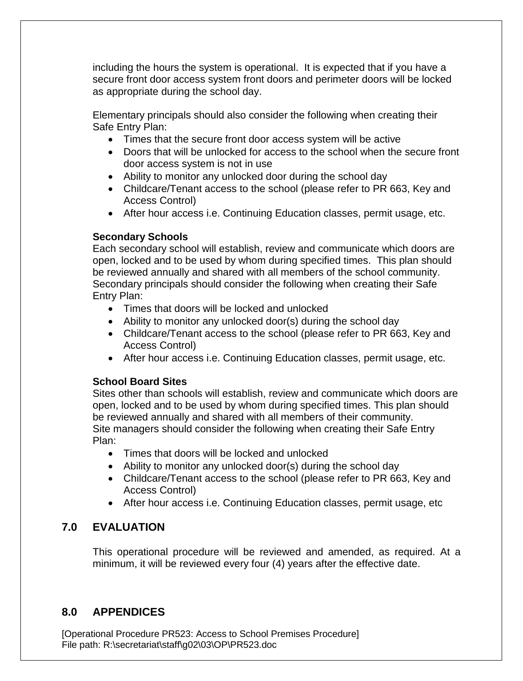including the hours the system is operational. It is expected that if you have a secure front door access system front doors and perimeter doors will be locked as appropriate during the school day.

Elementary principals should also consider the following when creating their Safe Entry Plan:

- Times that the secure front door access system will be active
- Doors that will be unlocked for access to the school when the secure front door access system is not in use
- Ability to monitor any unlocked door during the school day
- Childcare/Tenant access to the school (please refer to PR 663, Key and Access Control)
- After hour access i.e. Continuing Education classes, permit usage, etc.

# **Secondary Schools**

Each secondary school will establish, review and communicate which doors are open, locked and to be used by whom during specified times. This plan should be reviewed annually and shared with all members of the school community. Secondary principals should consider the following when creating their Safe Entry Plan:

- Times that doors will be locked and unlocked
- Ability to monitor any unlocked door(s) during the school day
- Childcare/Tenant access to the school (please refer to PR 663, Key and Access Control)
- After hour access i.e. Continuing Education classes, permit usage, etc.

# **School Board Sites**

Sites other than schools will establish, review and communicate which doors are open, locked and to be used by whom during specified times. This plan should be reviewed annually and shared with all members of their community. Site managers should consider the following when creating their Safe Entry Plan:

- Times that doors will be locked and unlocked
- Ability to monitor any unlocked door(s) during the school day
- Childcare/Tenant access to the school (please refer to PR 663, Key and Access Control)
- After hour access i.e. Continuing Education classes, permit usage, etc

# **7.0 EVALUATION**

This operational procedure will be reviewed and amended, as required. At a minimum, it will be reviewed every four (4) years after the effective date.

# **8.0 APPENDICES**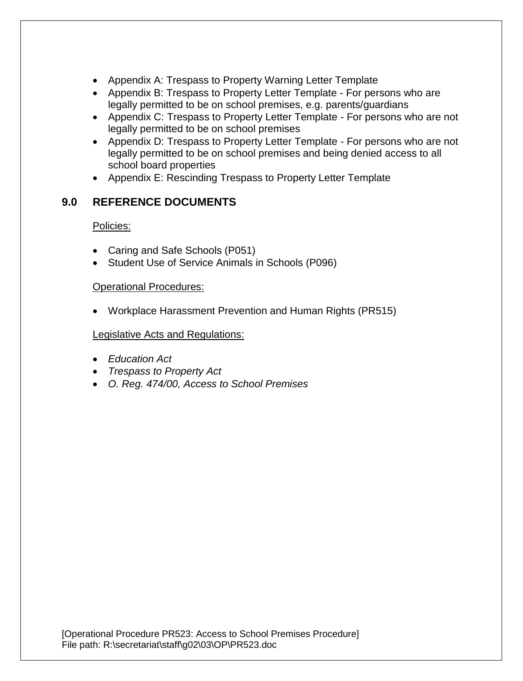- Appendix A: Trespass to Property Warning Letter Template
- Appendix B: Trespass to Property Letter Template For persons who are legally permitted to be on school premises, e.g. parents/guardians
- Appendix C: Trespass to Property Letter Template For persons who are not legally permitted to be on school premises
- Appendix D: Trespass to Property Letter Template For persons who are not legally permitted to be on school premises and being denied access to all school board properties
- Appendix E: Rescinding Trespass to Property Letter Template

# **9.0 REFERENCE DOCUMENTS**

Policies:

- Caring and Safe Schools (P051)
- Student Use of Service Animals in Schools (P096)

## Operational Procedures:

Workplace Harassment Prevention and Human Rights (PR515)

#### Legislative Acts and Regulations:

- *Education Act*
- *Trespass to Property Act*
- *O. Reg. 474/00, Access to School Premises*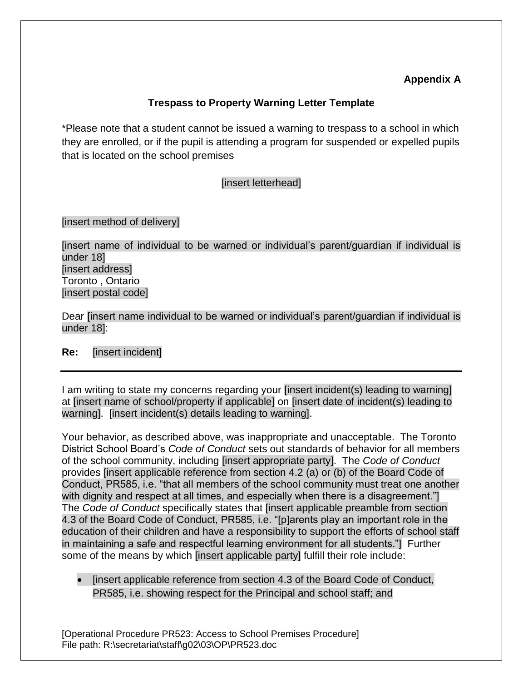# **Appendix A**

# **Trespass to Property Warning Letter Template**

\*Please note that a student cannot be issued a warning to trespass to a school in which they are enrolled, or if the pupil is attending a program for suspended or expelled pupils that is located on the school premises

[insert letterhead]

[insert method of delivery]

[insert name of individual to be warned or individual's parent/guardian if individual is under 18] [insert address] Toronto , Ontario [insert postal code]

Dear [insert name individual to be warned or individual's parent/guardian if individual is under 18]:

#### **Re:** [insert incident]

I am writing to state my concerns regarding your [insert incident(s) leading to warning] at [insert name of school/property if applicable] on [insert date of incident(s) leading to warning]. [insert incident(s) details leading to warning].

Your behavior, as described above, was inappropriate and unacceptable. The Toronto District School Board's *Code of Conduct* sets out standards of behavior for all members of the school community, including [insert appropriate party]. The *Code of Conduct* provides [insert applicable reference from section 4.2 (a) or (b) of the Board Code of Conduct, PR585, i.e. "that all members of the school community must treat one another with dignity and respect at all times, and especially when there is a disagreement." The *Code of Conduct* specifically states that [insert applicable preamble from section 4.3 of the Board Code of Conduct, PR585, i.e. "[p]arents play an important role in the education of their children and have a responsibility to support the efforts of school staff in maintaining a safe and respectful learning environment for all students."] Further some of the means by which [insert applicable party] fulfill their role include:

• [insert applicable reference from section 4.3 of the Board Code of Conduct, PR585, i.e. showing respect for the Principal and school staff; and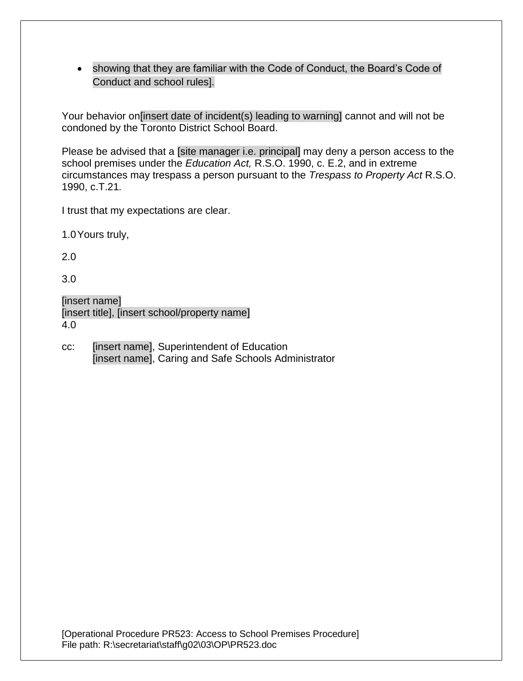showing that they are familiar with the Code of Conduct, the Board's Code of Conduct and school rules].

Your behavior on[insert date of incident(s) leading to warning] cannot and will not be condoned by the Toronto District School Board.

Please be advised that a [site manager i.e. principal] may deny a person access to the school premises under the *Education Act,* R.S.O. 1990, c. E.2, and in extreme circumstances may trespass a person pursuant to the *Trespass to Property Act* R.S.O. 1990, c.T.21*.* 

I trust that my expectations are clear.

1.0Yours truly,

2.0

3.0

| [insert name]                                 |
|-----------------------------------------------|
| [insert title], [insert school/property name] |
| 4.0                                           |

cc: [insert name], Superintendent of Education [insert name], Caring and Safe Schools Administrator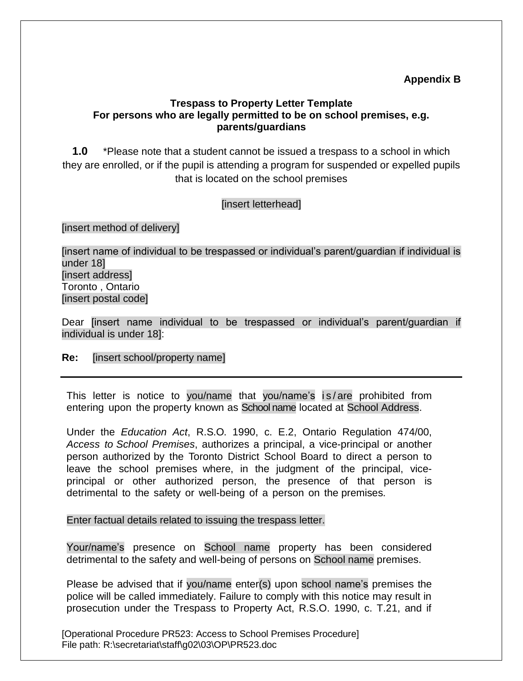# **Appendix B**

## **Trespass to Property Letter Template For persons who are legally permitted to be on school premises, e.g. parents/guardians**

**1.0** \*Please note that a student cannot be issued a trespass to a school in which they are enrolled, or if the pupil is attending a program for suspended or expelled pupils that is located on the school premises

#### [insert letterhead]

[insert method of delivery]

[insert name of individual to be trespassed or individual's parent/guardian if individual is under 18] [insert address] Toronto , Ontario [insert postal code]

Dear [insert name individual to be trespassed or individual's parent/guardian if individual is under 18]:

#### **Re:** [insert school/property name]

This letter is notice to you/name that you/name's is/are prohibited from entering upon the property known as School name located at School Address.

Under the *Education Act*, R.S.O. 1990, c. E.2, Ontario Regulation 474/00, *Access to School Premises*, authorizes a principal, a vice-principal or another person authorized by the Toronto District School Board to direct a person to leave the school premises where, in the judgment of the principal, viceprincipal or other authorized person, the presence of that person is detrimental to the safety or well-being of a person on the premises.

Enter factual details related to issuing the trespass letter.

Your/name's presence on School name property has been considered detrimental to the safety and well-being of persons on School name premises.

Please be advised that if you/name enter(s) upon school name's premises the police will be called immediately. Failure to comply with this notice may result in prosecution under the Trespass to Property Act, R.S.O. 1990, c. T.21, and if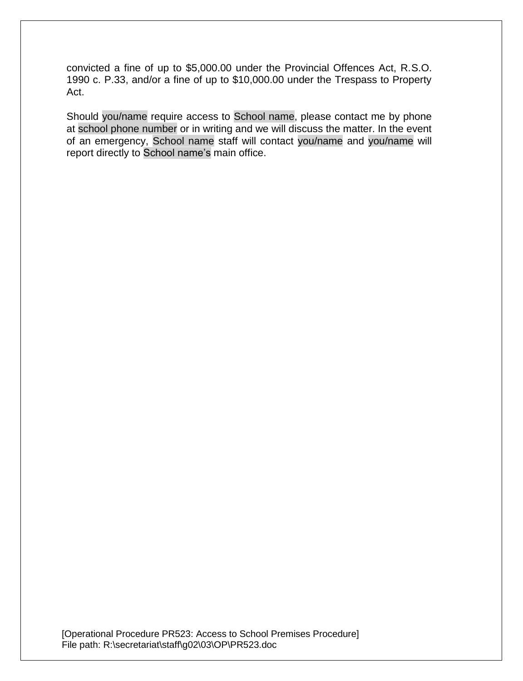convicted a fine of up to \$5,000.00 under the Provincial Offences Act, R.S.O. 1990 c. P.33, and/or a fine of up to \$10,000.00 under the Trespass to Property Act.

Should you/name require access to School name, please contact me by phone at school phone number or in writing and we will discuss the matter. In the event of an emergency, School name staff will contact you/name and you/name will report directly to School name's main office.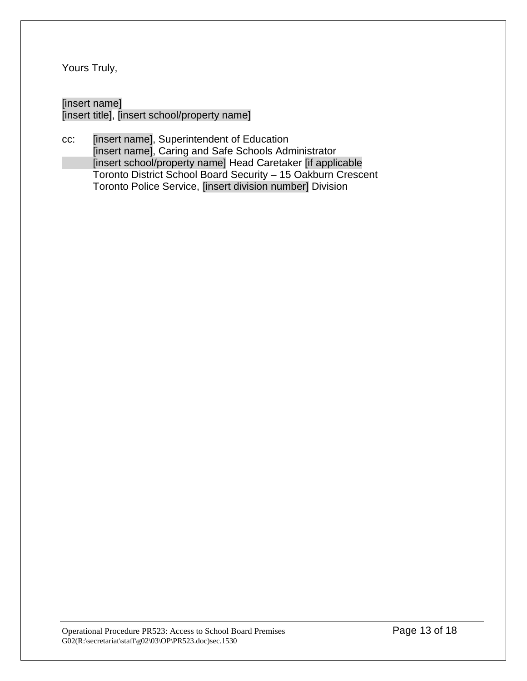Yours Truly,

## [insert name] [insert title], [insert school/property name]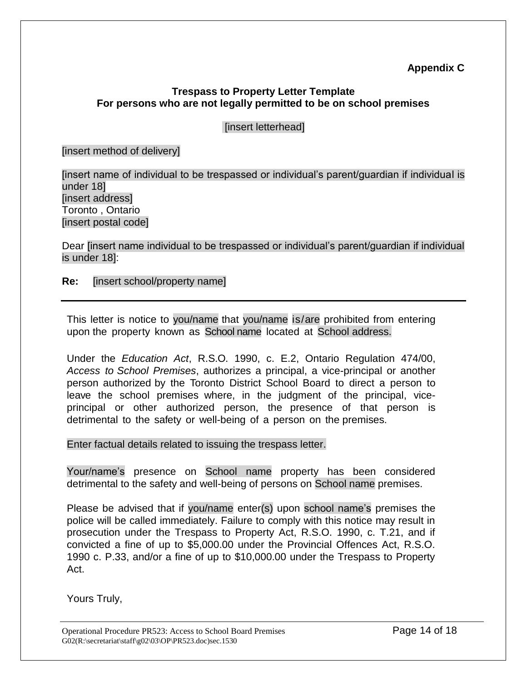# **Appendix C**

## **Trespass to Property Letter Template For persons who are not legally permitted to be on school premises**

## [insert letterhead]

[insert method of delivery]

[insert name of individual to be trespassed or individual's parent/guardian if individual is under 18] [insert address] Toronto , Ontario [insert postal code]

Dear [insert name individual to be trespassed or individual's parent/guardian if individual is under 18]:

**Re:** [insert school/property name]

This letter is notice to you/name that you/name is/are prohibited from entering upon the property known as School name located at School address.

Under the *Education Act*, R.S.O. 1990, c. E.2, Ontario Regulation 474/00, *Access to School Premises*, authorizes a principal, a vice-principal or another person authorized by the Toronto District School Board to direct a person to leave the school premises where, in the judgment of the principal, viceprincipal or other authorized person, the presence of that person is detrimental to the safety or well-being of a person on the premises.

Enter factual details related to issuing the trespass letter.

Your/name's presence on School name property has been considered detrimental to the safety and well-being of persons on School name premises.

Please be advised that if you/name enter(s) upon school name's premises the police will be called immediately. Failure to comply with this notice may result in prosecution under the Trespass to Property Act, R.S.O. 1990, c. T.21, and if convicted a fine of up to \$5,000.00 under the Provincial Offences Act, R.S.O. 1990 c. P.33, and/or a fine of up to \$10,000.00 under the Trespass to Property Act.

Yours Truly,

Operational Procedure PR523: Access to School Board Premises Page 14 of 18  $G02(R:\s)$ secretariat $\star$ staff $\g02\q03\OP\PR523.doc$ )sec.1530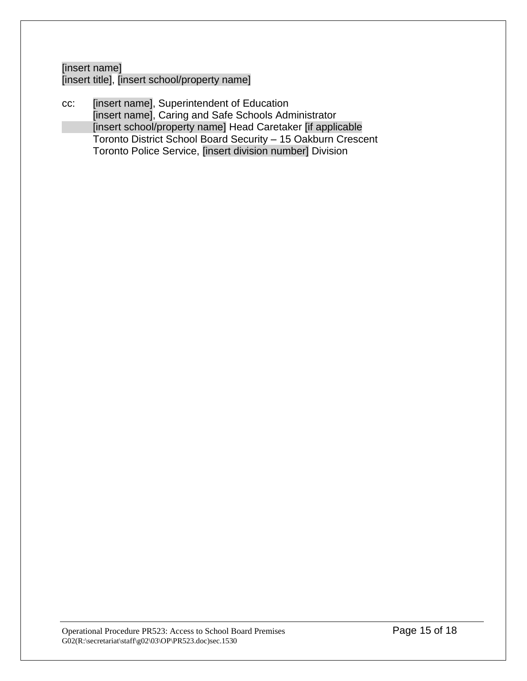[insert name] [insert title], [insert school/property name]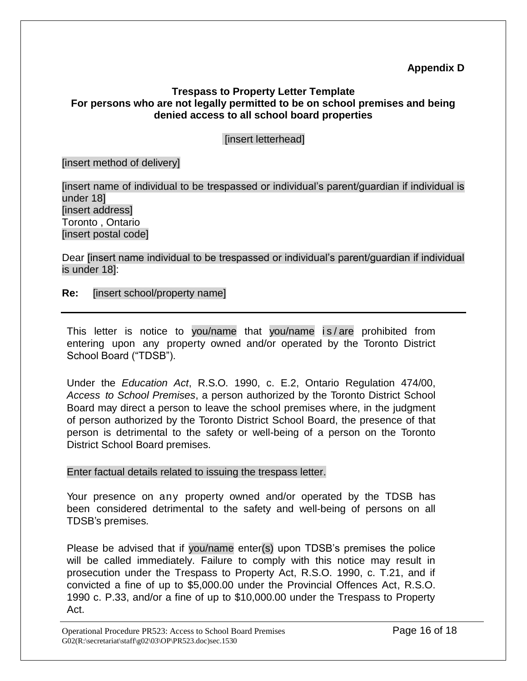# **Appendix D**

## **Trespass to Property Letter Template For persons who are not legally permitted to be on school premises and being denied access to all school board properties**

## [insert letterhead]

#### [insert method of delivery]

[insert name of individual to be trespassed or individual's parent/guardian if individual is under 18] [insert address] Toronto , Ontario [insert postal code]

Dear [insert name individual to be trespassed or individual's parent/guardian if individual is under 18]:

**Re:** [insert school/property name]

This letter is notice to you/name that you/name is/are prohibited from entering upon any property owned and/or operated by the Toronto District School Board ("TDSB").

Under the *Education Act*, R.S.O. 1990, c. E.2, Ontario Regulation 474/00, *Access to School Premises*, a person authorized by the Toronto District School Board may direct a person to leave the school premises where, in the judgment of person authorized by the Toronto District School Board, the presence of that person is detrimental to the safety or well-being of a person on the Toronto District School Board premises.

#### Enter factual details related to issuing the trespass letter.

Your presence on any property owned and/or operated by the TDSB has been considered detrimental to the safety and well-being of persons on all TDSB's premises.

Please be advised that if you/name enter(s) upon TDSB's premises the police will be called immediately. Failure to comply with this notice may result in prosecution under the Trespass to Property Act, R.S.O. 1990, c. T.21, and if convicted a fine of up to \$5,000.00 under the Provincial Offences Act, R.S.O. 1990 c. P.33, and/or a fine of up to \$10,000.00 under the Trespass to Property Act.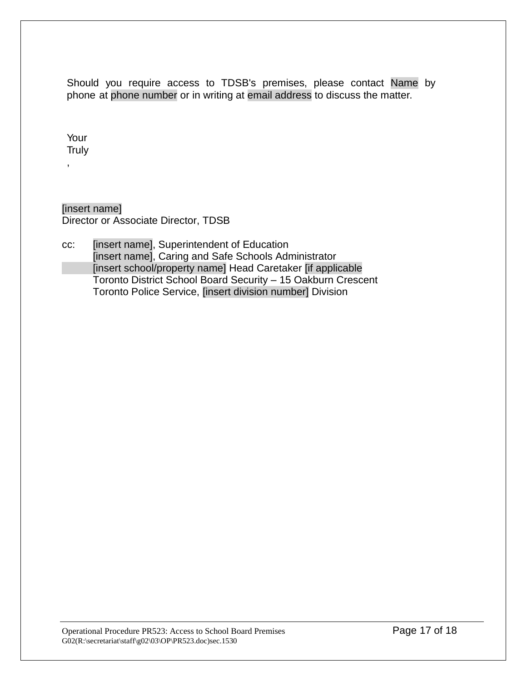Should you require access to TDSB's premises, please contact Name by phone at phone number or in writing at email address to discuss the matter.

Your **Truly** 

,

[insert name] Director or Associate Director, TDSB